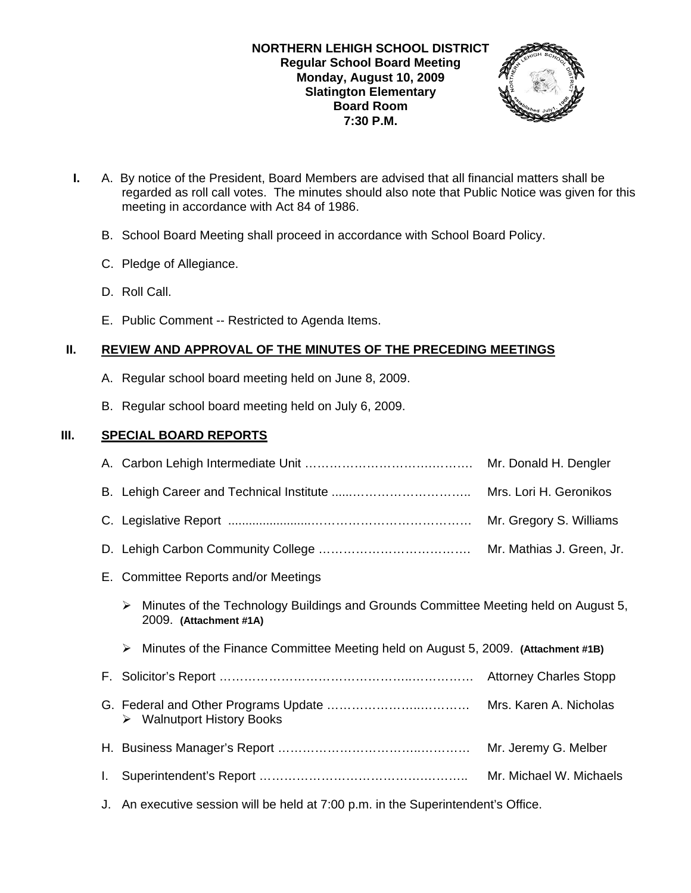

- **I.** A. By notice of the President, Board Members are advised that all financial matters shall be regarded as roll call votes. The minutes should also note that Public Notice was given for this meeting in accordance with Act 84 of 1986.
	- B. School Board Meeting shall proceed in accordance with School Board Policy.
	- C. Pledge of Allegiance.
	- D. Roll Call.
	- E. Public Comment -- Restricted to Agenda Items.

# **II. REVIEW AND APPROVAL OF THE MINUTES OF THE PRECEDING MEETINGS**

- A. Regular school board meeting held on June 8, 2009.
- B. Regular school board meeting held on July 6, 2009.

# **III. SPECIAL BOARD REPORTS**

|    |                                                                                                                    | Mr. Donald H. Dengler     |
|----|--------------------------------------------------------------------------------------------------------------------|---------------------------|
|    |                                                                                                                    | Mrs. Lori H. Geronikos    |
|    |                                                                                                                    | Mr. Gregory S. Williams   |
|    |                                                                                                                    | Mr. Mathias J. Green, Jr. |
|    | E. Committee Reports and/or Meetings                                                                               |                           |
|    | Minutes of the Technology Buildings and Grounds Committee Meeting held on August 5,<br>➤<br>2009. (Attachment #1A) |                           |
|    |                                                                                                                    |                           |
|    | Minutes of the Finance Committee Meeting held on August 5, 2009. (Attachment #1B)<br>➤                             |                           |
|    |                                                                                                                    |                           |
|    | $\triangleright$ Walnutport History Books                                                                          | Mrs. Karen A. Nicholas    |
|    |                                                                                                                    | Mr. Jeremy G. Melber      |
| L. |                                                                                                                    | Mr. Michael W. Michaels   |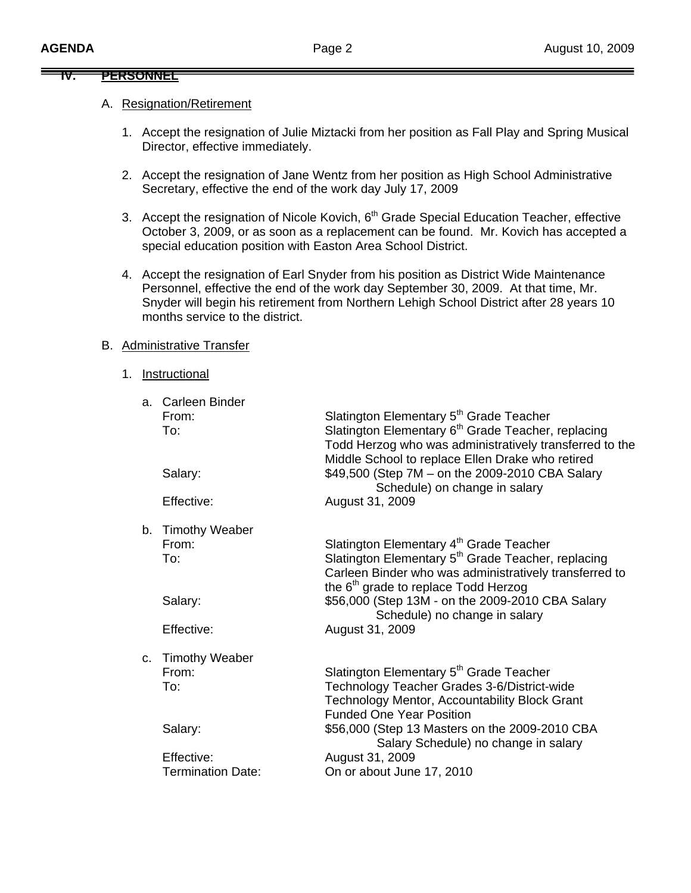#### **IV. PERSONNEL**

### A. Resignation/Retirement

- 1. Accept the resignation of Julie Miztacki from her position as Fall Play and Spring Musical Director, effective immediately.
- 2. Accept the resignation of Jane Wentz from her position as High School Administrative Secretary, effective the end of the work day July 17, 2009
- 3. Accept the resignation of Nicole Kovich, 6<sup>th</sup> Grade Special Education Teacher, effective October 3, 2009, or as soon as a replacement can be found. Mr. Kovich has accepted a special education position with Easton Area School District.
- 4. Accept the resignation of Earl Snyder from his position as District Wide Maintenance Personnel, effective the end of the work day September 30, 2009. At that time, Mr. Snyder will begin his retirement from Northern Lehigh School District after 28 years 10 months service to the district.

### B. Administrative Transfer

1. Instructional

|         | a. Carleen Binder        |                                                                |
|---------|--------------------------|----------------------------------------------------------------|
|         | From:                    | Slatington Elementary 5 <sup>th</sup> Grade Teacher            |
|         | To:                      | Slatington Elementary 6 <sup>th</sup> Grade Teacher, replacing |
|         |                          | Todd Herzog who was administratively transferred to the        |
|         |                          | Middle School to replace Ellen Drake who retired               |
|         | Salary:                  | \$49,500 (Step 7M – on the 2009-2010 CBA Salary                |
|         |                          | Schedule) on change in salary                                  |
|         | Effective:               | August 31, 2009                                                |
|         |                          |                                                                |
|         | b. Timothy Weaber        |                                                                |
|         | From:                    | Slatington Elementary 4 <sup>th</sup> Grade Teacher            |
|         | To:                      | Slatington Elementary 5 <sup>th</sup> Grade Teacher, replacing |
|         |                          | Carleen Binder who was administratively transferred to         |
|         |                          | the 6 <sup>th</sup> grade to replace Todd Herzog               |
|         | Salary:                  | \$56,000 (Step 13M - on the 2009-2010 CBA Salary               |
|         |                          | Schedule) no change in salary                                  |
|         | Effective:               | August 31, 2009                                                |
|         |                          |                                                                |
| $C_{1}$ | <b>Timothy Weaber</b>    |                                                                |
|         | From:                    | Slatington Elementary 5 <sup>th</sup> Grade Teacher            |
|         | To:                      | Technology Teacher Grades 3-6/District-wide                    |
|         |                          | Technology Mentor, Accountability Block Grant                  |
|         |                          | <b>Funded One Year Position</b>                                |
|         | Salary:                  | \$56,000 (Step 13 Masters on the 2009-2010 CBA                 |
|         |                          | Salary Schedule) no change in salary                           |
|         | Effective:               | August 31, 2009                                                |
|         | <b>Termination Date:</b> | On or about June 17, 2010                                      |
|         |                          |                                                                |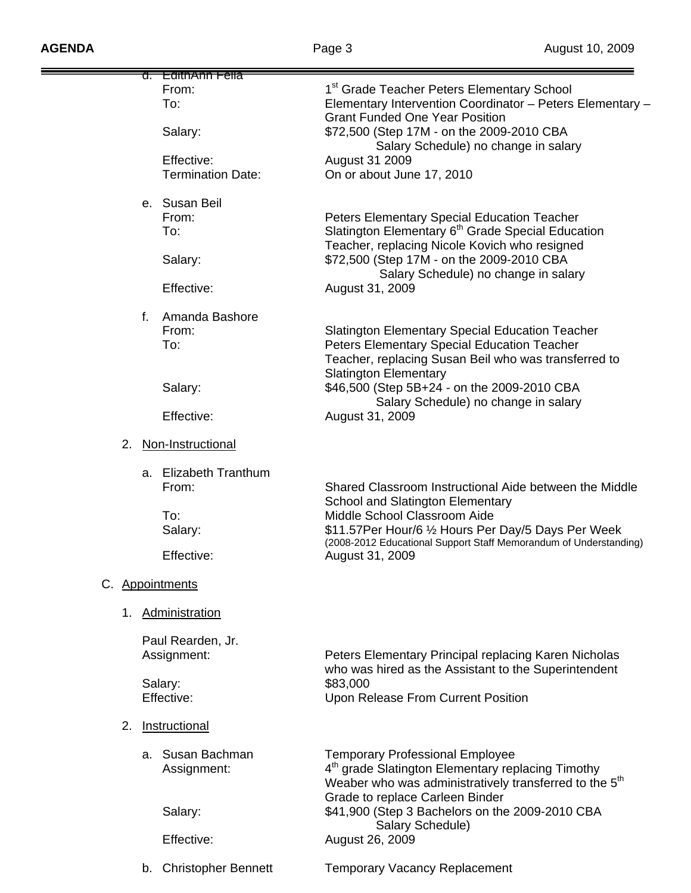| <del>d. EdithAnn Fella</del>                                           |                                                                                                                                                                                                                                                                                                                |
|------------------------------------------------------------------------|----------------------------------------------------------------------------------------------------------------------------------------------------------------------------------------------------------------------------------------------------------------------------------------------------------------|
| From:<br>To:<br>Salary:                                                | 1 <sup>st</sup> Grade Teacher Peters Elementary School<br>Elementary Intervention Coordinator - Peters Elementary -<br><b>Grant Funded One Year Position</b><br>\$72,500 (Step 17M - on the 2009-2010 CBA                                                                                                      |
| Effective:<br><b>Termination Date:</b>                                 | Salary Schedule) no change in salary<br>August 31 2009<br>On or about June 17, 2010                                                                                                                                                                                                                            |
| e. Susan Beil<br>From:<br>To:<br>Salary:<br>Effective:                 | <b>Peters Elementary Special Education Teacher</b><br>Slatington Elementary 6 <sup>th</sup> Grade Special Education<br>Teacher, replacing Nicole Kovich who resigned<br>\$72,500 (Step 17M - on the 2009-2010 CBA<br>Salary Schedule) no change in salary<br>August 31, 2009                                   |
| $f_{\perp}$<br>Amanda Bashore<br>From:<br>To:<br>Salary:<br>Effective: | <b>Slatington Elementary Special Education Teacher</b><br><b>Peters Elementary Special Education Teacher</b><br>Teacher, replacing Susan Beil who was transferred to<br><b>Slatington Elementary</b><br>\$46,500 (Step 5B+24 - on the 2009-2010 CBA<br>Salary Schedule) no change in salary<br>August 31, 2009 |
| 2.<br>Non-Instructional                                                |                                                                                                                                                                                                                                                                                                                |
| a. Elizabeth Tranthum<br>From:<br>To:<br>Salary:<br>Effective:         | Shared Classroom Instructional Aide between the Middle<br><b>School and Slatington Elementary</b><br>Middle School Classroom Aide<br>\$11.57Per Hour/6 1/2 Hours Per Day/5 Days Per Week<br>(2008-2012 Educational Support Staff Memorandum of Understanding)<br>August 31, 2009                               |
| C. Appointments                                                        |                                                                                                                                                                                                                                                                                                                |
| Administration<br>1.                                                   |                                                                                                                                                                                                                                                                                                                |
| Paul Rearden, Jr.<br>Assignment:                                       | Peters Elementary Principal replacing Karen Nicholas<br>who was hired as the Assistant to the Superintendent                                                                                                                                                                                                   |
| Salary:<br>Effective:                                                  | \$83,000<br>Upon Release From Current Position                                                                                                                                                                                                                                                                 |
| 2.<br>Instructional                                                    |                                                                                                                                                                                                                                                                                                                |
| a. Susan Bachman<br>Assignment:<br>Salary:                             | <b>Temporary Professional Employee</b><br>4 <sup>th</sup> grade Slatington Elementary replacing Timothy<br>Weaber who was administratively transferred to the 5 <sup>th</sup><br>Grade to replace Carleen Binder<br>\$41,900 (Step 3 Bachelors on the 2009-2010 CBA                                            |
| Effective:                                                             | Salary Schedule)<br>August 26, 2009                                                                                                                                                                                                                                                                            |
| b. Christopher Bennett                                                 | <b>Temporary Vacancy Replacement</b>                                                                                                                                                                                                                                                                           |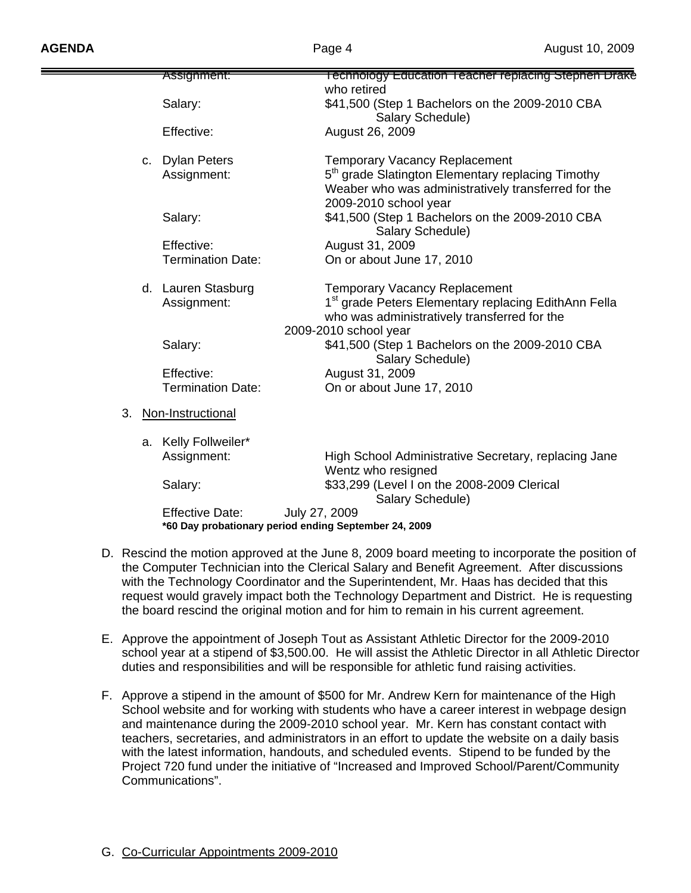|    | Assignment:              | <b>Technology Education Teacher replacing Stephen Drake</b>                                                                                   |
|----|--------------------------|-----------------------------------------------------------------------------------------------------------------------------------------------|
|    |                          | who retired                                                                                                                                   |
|    | Salary:                  | \$41,500 (Step 1 Bachelors on the 2009-2010 CBA<br>Salary Schedule)                                                                           |
|    | Effective:               | August 26, 2009                                                                                                                               |
|    | c. Dylan Peters          | <b>Temporary Vacancy Replacement</b>                                                                                                          |
|    | Assignment:              | 5 <sup>th</sup> grade Slatington Elementary replacing Timothy<br>Weaber who was administratively transferred for the<br>2009-2010 school year |
|    | Salary:                  | \$41,500 (Step 1 Bachelors on the 2009-2010 CBA<br>Salary Schedule)                                                                           |
|    | Effective:               | August 31, 2009                                                                                                                               |
|    | <b>Termination Date:</b> | On or about June 17, 2010                                                                                                                     |
|    | d. Lauren Stasburg       | <b>Temporary Vacancy Replacement</b>                                                                                                          |
|    | Assignment:              | 1 <sup>st</sup> grade Peters Elementary replacing EdithAnn Fella<br>who was administratively transferred for the                              |
|    |                          | 2009-2010 school year                                                                                                                         |
|    | Salary:                  | \$41,500 (Step 1 Bachelors on the 2009-2010 CBA<br>Salary Schedule)                                                                           |
|    | Effective:               | August 31, 2009                                                                                                                               |
|    | <b>Termination Date:</b> | On or about June 17, 2010                                                                                                                     |
| 3. | Non-Instructional        |                                                                                                                                               |
|    | a. Kelly Follweiler*     |                                                                                                                                               |
|    | Assignment:              | High School Administrative Secretary, replacing Jane<br>Wentz who resigned                                                                    |
|    | Salary:                  | \$33,299 (Level I on the 2008-2009 Clerical<br>Salary Schedule)                                                                               |
|    | <b>Effective Date:</b>   | July 27, 2009                                                                                                                                 |
|    |                          | *60 Day probationary period ending September 24, 2009                                                                                         |

- D. Rescind the motion approved at the June 8, 2009 board meeting to incorporate the position of the Computer Technician into the Clerical Salary and Benefit Agreement.After discussions with the Technology Coordinator and the Superintendent, Mr. Haas has decided that this request would gravely impact both the Technology Department and District. He is requesting the board rescind the original motion and for him to remain in his current agreement.
- E. Approve the appointment of Joseph Tout as Assistant Athletic Director for the 2009-2010 school year at a stipend of \$3,500.00. He will assist the Athletic Director in all Athletic Director duties and responsibilities and will be responsible for athletic fund raising activities.
- F. Approve a stipend in the amount of \$500 for Mr. Andrew Kern for maintenance of the High School website and for working with students who have a career interest in webpage design and maintenance during the 2009-2010 school year. Mr. Kern has constant contact with teachers, secretaries, and administrators in an effort to update the website on a daily basis with the latest information, handouts, and scheduled events. Stipend to be funded by the Project 720 fund under the initiative of "Increased and Improved School/Parent/Community Communications".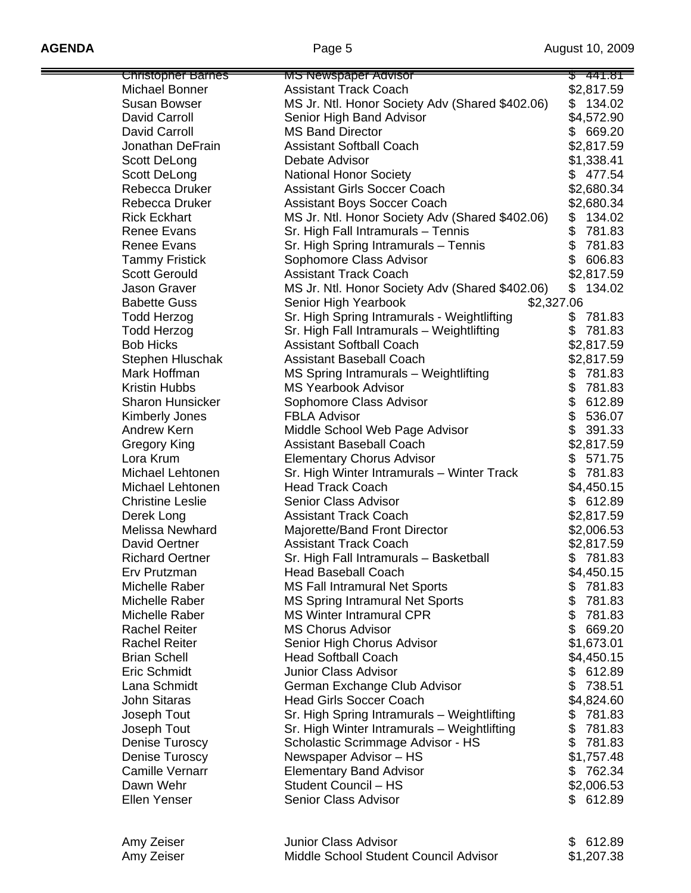| Christopher Barnes      | <del>MS Newspaper Advisor</del>                 | <del>441.81</del> |
|-------------------------|-------------------------------------------------|-------------------|
| Michael Bonner          | <b>Assistant Track Coach</b>                    | \$2,817.59        |
| <b>Susan Bowser</b>     | MS Jr. Ntl. Honor Society Adv (Shared \$402.06) | 134.02<br>\$      |
| David Carroll           | Senior High Band Advisor                        | \$4,572.90        |
| David Carroll           | <b>MS Band Director</b>                         | 669.20<br>\$      |
| Jonathan DeFrain        | <b>Assistant Softball Coach</b>                 | \$2,817.59        |
| Scott DeLong            | Debate Advisor                                  | \$1,338.41        |
| Scott DeLong            | <b>National Honor Society</b>                   | 477.54<br>\$      |
| Rebecca Druker          | <b>Assistant Girls Soccer Coach</b>             | \$2,680.34        |
| Rebecca Druker          | <b>Assistant Boys Soccer Coach</b>              | \$2,680.34        |
| <b>Rick Eckhart</b>     | MS Jr. Ntl. Honor Society Adv (Shared \$402.06) | 134.02<br>\$      |
|                         |                                                 | \$                |
| <b>Renee Evans</b>      | Sr. High Fall Intramurals - Tennis              | 781.83            |
| <b>Renee Evans</b>      | Sr. High Spring Intramurals - Tennis            | \$<br>781.83      |
| <b>Tammy Fristick</b>   | Sophomore Class Advisor                         | 606.83            |
| <b>Scott Gerould</b>    | <b>Assistant Track Coach</b>                    | \$2,817.59        |
| <b>Jason Graver</b>     | MS Jr. Ntl. Honor Society Adv (Shared \$402.06) | 134.02<br>\$      |
| <b>Babette Guss</b>     | \$2,327.06<br>Senior High Yearbook              |                   |
| <b>Todd Herzog</b>      | Sr. High Spring Intramurals - Weightlifting     | \$<br>781.83      |
| <b>Todd Herzog</b>      | Sr. High Fall Intramurals - Weightlifting       | \$<br>781.83      |
| <b>Bob Hicks</b>        | <b>Assistant Softball Coach</b>                 | \$2,817.59        |
| Stephen Hluschak        | <b>Assistant Baseball Coach</b>                 | \$2,817.59        |
| Mark Hoffman            | MS Spring Intramurals - Weightlifting           | 781.83<br>\$      |
| <b>Kristin Hubbs</b>    | <b>MS Yearbook Advisor</b>                      | \$<br>781.83      |
| <b>Sharon Hunsicker</b> | Sophomore Class Advisor                         | \$<br>612.89      |
|                         | <b>FBLA Advisor</b>                             | \$<br>536.07      |
| Kimberly Jones          |                                                 | \$                |
| Andrew Kern             | Middle School Web Page Advisor                  | 391.33            |
| Gregory King            | <b>Assistant Baseball Coach</b>                 | \$2,817.59        |
| Lora Krum               | <b>Elementary Chorus Advisor</b>                | 571.75<br>\$      |
| Michael Lehtonen        | Sr. High Winter Intramurals - Winter Track      | \$<br>781.83      |
| Michael Lehtonen        | <b>Head Track Coach</b>                         | \$4,450.15        |
| <b>Christine Leslie</b> | Senior Class Advisor                            | \$612.89          |
| Derek Long              | <b>Assistant Track Coach</b>                    | \$2,817.59        |
| Melissa Newhard         | Majorette/Band Front Director                   | \$2,006.53        |
| David Oertner           | <b>Assistant Track Coach</b>                    | \$2,817.59        |
| <b>Richard Oertner</b>  | Sr. High Fall Intramurals - Basketball          | 781.83<br>\$      |
| Erv Prutzman            | <b>Head Baseball Coach</b>                      | \$4,450.15        |
| Michelle Raber          | <b>MS Fall Intramural Net Sports</b>            | 781.83<br>\$      |
| Michelle Raber          | <b>MS Spring Intramural Net Sports</b>          | \$<br>781.83      |
| Michelle Raber          | <b>MS Winter Intramural CPR</b>                 | \$<br>781.83      |
| <b>Rachel Reiter</b>    | <b>MS Chorus Advisor</b>                        | \$<br>669.20      |
| <b>Rachel Reiter</b>    | Senior High Chorus Advisor                      | \$1,673.01        |
| <b>Brian Schell</b>     | <b>Head Softball Coach</b>                      | \$4,450.15        |
| Eric Schmidt            | <b>Junior Class Advisor</b>                     | 612.89<br>\$      |
| Lana Schmidt            | German Exchange Club Advisor                    | \$<br>738.51      |
| <b>John Sitaras</b>     | <b>Head Girls Soccer Coach</b>                  |                   |
|                         |                                                 | \$4,824.60        |
| Joseph Tout             | Sr. High Spring Intramurals - Weightlifting     | 781.83<br>\$      |
| Joseph Tout             | Sr. High Winter Intramurals - Weightlifting     | 781.83<br>\$      |
| Denise Turoscy          | Scholastic Scrimmage Advisor - HS               | \$<br>781.83      |
| Denise Turoscy          | Newspaper Advisor – HS                          | \$1,757.48        |
| <b>Camille Vernarr</b>  | <b>Elementary Band Advisor</b>                  | \$762.34          |
| Dawn Wehr               | Student Council - HS                            | \$2,006.53        |
| Ellen Yenser            | Senior Class Advisor                            | \$612.89          |
|                         |                                                 |                   |
| Amy Zeiser              | <b>Junior Class Advisor</b>                     | \$612.89          |
| Amy Zeiser              | Middle School Student Council Advisor           | \$1,207.38        |
|                         |                                                 |                   |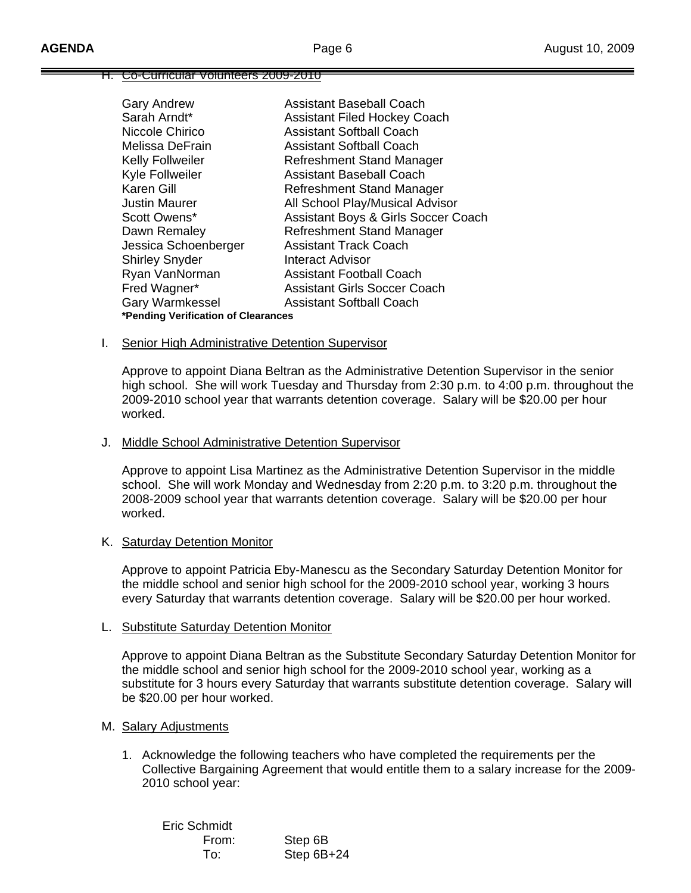#### H. Co-Curricular Volunteers 2009-2010

| <b>Gary Andrew</b>                  | <b>Assistant Baseball Coach</b>     |
|-------------------------------------|-------------------------------------|
| Sarah Arndt*                        | <b>Assistant Filed Hockey Coach</b> |
| Niccole Chirico                     | <b>Assistant Softball Coach</b>     |
| Melissa DeFrain                     | <b>Assistant Softball Coach</b>     |
| Kelly Follweiler                    | Refreshment Stand Manager           |
| Kyle Follweiler                     | Assistant Baseball Coach            |
| Karen Gill                          | Refreshment Stand Manager           |
| <b>Justin Maurer</b>                | All School Play/Musical Advisor     |
| Scott Owens*                        | Assistant Boys & Girls Soccer Coach |
| Dawn Remaley                        | Refreshment Stand Manager           |
| Jessica Schoenberger                | <b>Assistant Track Coach</b>        |
| <b>Shirley Snyder</b>               | Interact Advisor                    |
| Ryan VanNorman                      | <b>Assistant Football Coach</b>     |
| Fred Wagner*                        | <b>Assistant Girls Soccer Coach</b> |
| <b>Gary Warmkessel</b>              | <b>Assistant Softball Coach</b>     |
| *Pending Verification of Clearances |                                     |

#### I. Senior High Administrative Detention Supervisor

 Approve to appoint Diana Beltran as the Administrative Detention Supervisor in the senior high school. She will work Tuesday and Thursday from 2:30 p.m. to 4:00 p.m. throughout the 2009-2010 school year that warrants detention coverage. Salary will be \$20.00 per hour worked.

#### J. Middle School Administrative Detention Supervisor

 Approve to appoint Lisa Martinez as the Administrative Detention Supervisor in the middle school. She will work Monday and Wednesday from 2:20 p.m. to 3:20 p.m. throughout the 2008-2009 school year that warrants detention coverage. Salary will be \$20.00 per hour worked.

#### K. Saturday Detention Monitor

 Approve to appoint Patricia Eby-Manescu as the Secondary Saturday Detention Monitor for the middle school and senior high school for the 2009-2010 school year, working 3 hours every Saturday that warrants detention coverage. Salary will be \$20.00 per hour worked.

### L. Substitute Saturday Detention Monitor

 Approve to appoint Diana Beltran as the Substitute Secondary Saturday Detention Monitor for the middle school and senior high school for the 2009-2010 school year, working as a substitute for 3 hours every Saturday that warrants substitute detention coverage. Salary will be \$20.00 per hour worked.

### M. Salary Adjustments

1. Acknowledge the following teachers who have completed the requirements per the Collective Bargaining Agreement that would entitle them to a salary increase for the 2009- 2010 school year:

| Eric Schmidt |              |
|--------------|--------------|
| From:        | Step 6B      |
| To:          | Step $6B+24$ |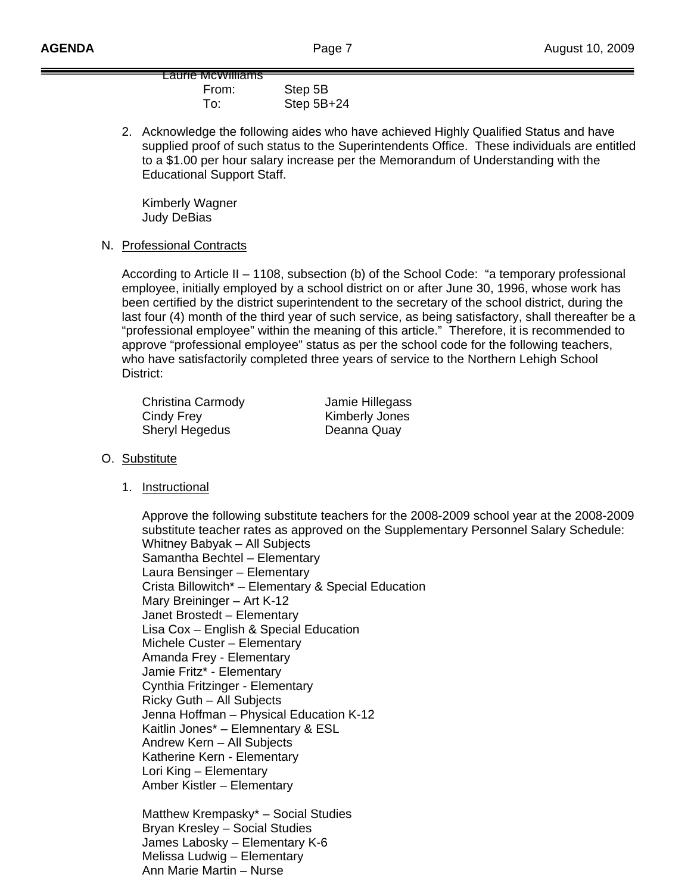Laurie McWilliams From: Step 5B To: Step 5B+24

2. Acknowledge the following aides who have achieved Highly Qualified Status and have supplied proof of such status to the Superintendents Office. These individuals are entitled to a \$1.00 per hour salary increase per the Memorandum of Understanding with the Educational Support Staff.

 Kimberly Wagner Judy DeBias

N. Professional Contracts

 According to Article II – 1108, subsection (b) of the School Code: "a temporary professional employee, initially employed by a school district on or after June 30, 1996, whose work has been certified by the district superintendent to the secretary of the school district, during the last four (4) month of the third year of such service, as being satisfactory, shall thereafter be a "professional employee" within the meaning of this article." Therefore, it is recommended to approve "professional employee" status as per the school code for the following teachers, who have satisfactorily completed three years of service to the Northern Lehigh School District:

 Christina Carmody Jamie Hillegass Cindy Frey **Kimberly Jones** Sheryl Hegedus Deanna Quay

### O. Substitute

1. Instructional

 Approve the following substitute teachers for the 2008-2009 school year at the 2008-2009 substitute teacher rates as approved on the Supplementary Personnel Salary Schedule: Whitney Babyak – All Subjects Samantha Bechtel – Elementary Laura Bensinger – Elementary Crista Billowitch\* – Elementary & Special Education Mary Breininger – Art K-12 Janet Brostedt – Elementary Lisa Cox – English & Special Education Michele Custer – Elementary Amanda Frey - Elementary Jamie Fritz\* - Elementary Cynthia Fritzinger - Elementary Ricky Guth – All Subjects Jenna Hoffman – Physical Education K-12 Kaitlin Jones\* – Elemnentary & ESL Andrew Kern – All Subjects Katherine Kern - Elementary Lori King – Elementary Amber Kistler – Elementary

Matthew Krempasky\* – Social Studies Bryan Kresley – Social Studies James Labosky – Elementary K-6 Melissa Ludwig – Elementary Ann Marie Martin – Nurse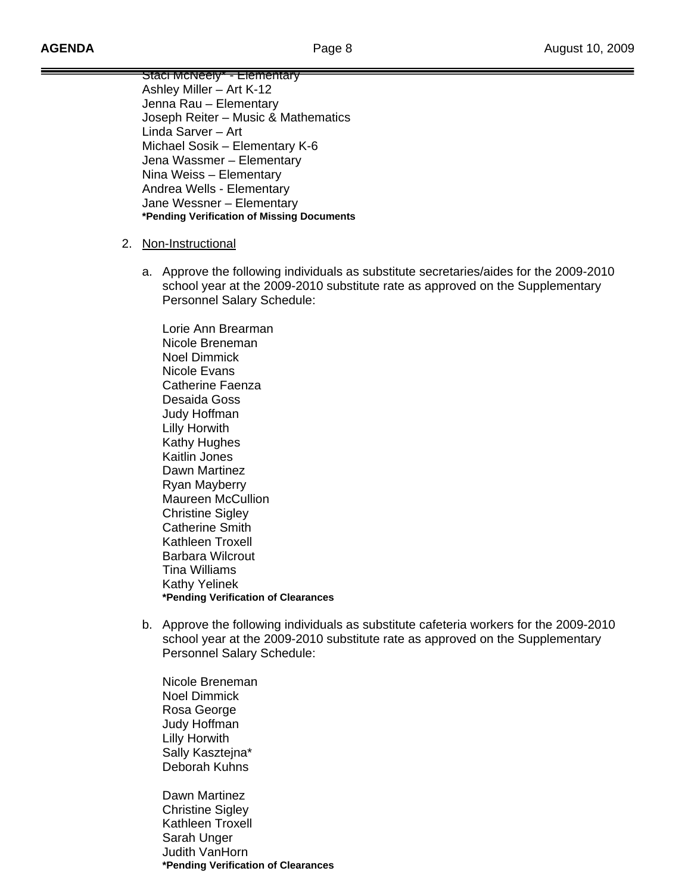Staci McNeely\* - Elementary Ashley Miller – Art K-12 Jenna Rau – Elementary Joseph Reiter – Music & Mathematics Linda Sarver – Art Michael Sosik – Elementary K-6 Jena Wassmer – Elementary Nina Weiss – Elementary Andrea Wells - Elementary Jane Wessner – Elementary **\*Pending Verification of Missing Documents** 

- 2. Non-Instructional
	- a. Approve the following individuals as substitute secretaries/aides for the 2009-2010 school year at the 2009-2010 substitute rate as approved on the Supplementary Personnel Salary Schedule:

 Lorie Ann Brearman Nicole Breneman Noel Dimmick Nicole Evans Catherine Faenza Desaida Goss Judy Hoffman Lilly Horwith Kathy Hughes Kaitlin Jones Dawn Martinez Ryan Mayberry Maureen McCullion Christine Sigley Catherine Smith Kathleen Troxell Barbara Wilcrout Tina Williams Kathy Yelinek **\*Pending Verification of Clearances** 

b. Approve the following individuals as substitute cafeteria workers for the 2009-2010 school year at the 2009-2010 substitute rate as approved on the Supplementary Personnel Salary Schedule:

 Nicole Breneman Noel Dimmick Rosa George Judy Hoffman Lilly Horwith Sally Kaszteina\* Deborah Kuhns

 Dawn Martinez Christine Sigley Kathleen Troxell Sarah Unger Judith VanHorn  **\*Pending Verification of Clearances**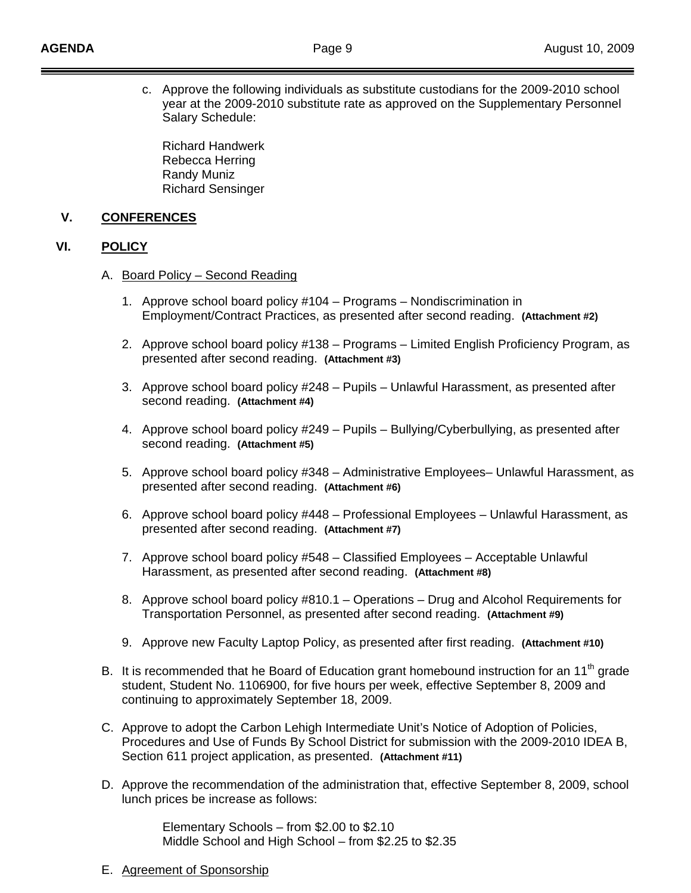c. Approve the following individuals as substitute custodians for the 2009-2010 school year at the 2009-2010 substitute rate as approved on the Supplementary Personnel Salary Schedule:

 Richard Handwerk Rebecca Herring Randy Muniz Richard Sensinger

## **V. CONFERENCES**

## **VI. POLICY**

- A. Board Policy Second Reading
	- 1. Approve school board policy #104 Programs Nondiscrimination in Employment/Contract Practices, as presented after second reading. **(Attachment #2)**
	- 2. Approve school board policy #138 Programs Limited English Proficiency Program, as presented after second reading. **(Attachment #3)**
	- 3. Approve school board policy #248 Pupils Unlawful Harassment, as presented after second reading. **(Attachment #4)**
	- 4. Approve school board policy #249 Pupils Bullying/Cyberbullying, as presented after second reading. **(Attachment #5)**
	- 5. Approve school board policy #348 Administrative Employees– Unlawful Harassment, as presented after second reading. **(Attachment #6)**
	- 6. Approve school board policy #448 Professional Employees Unlawful Harassment, as presented after second reading. **(Attachment #7)**
	- 7. Approve school board policy #548 Classified Employees Acceptable Unlawful Harassment, as presented after second reading. **(Attachment #8)**
	- 8. Approve school board policy #810.1 Operations Drug and Alcohol Requirements for Transportation Personnel, as presented after second reading. **(Attachment #9)**
	- 9. Approve new Faculty Laptop Policy, as presented after first reading. **(Attachment #10)**
- B. It is recommended that he Board of Education grant homebound instruction for an 11<sup>th</sup> grade student, Student No. 1106900, for five hours per week, effective September 8, 2009 and continuing to approximately September 18, 2009.
- C. Approve to adopt the Carbon Lehigh Intermediate Unit's Notice of Adoption of Policies, Procedures and Use of Funds By School District for submission with the 2009-2010 IDEA B, Section 611 project application, as presented. **(Attachment #11)**
- D. Approve the recommendation of the administration that, effective September 8, 2009, school lunch prices be increase as follows:

 Elementary Schools – from \$2.00 to \$2.10 Middle School and High School – from \$2.25 to \$2.35

E. Agreement of Sponsorship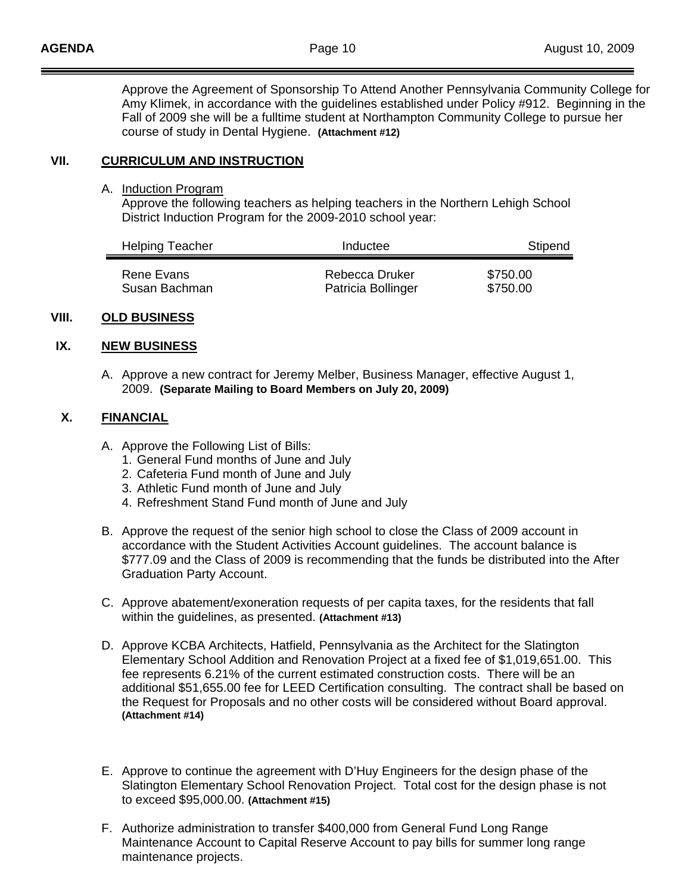Approve the Agreement of Sponsorship To Attend Another Pennsylvania Community College for Amy Klimek, in accordance with the guidelines established under Policy #912. Beginning in the Fall of 2009 she will be a fulltime student at Northampton Community College to pursue her course of study in Dental Hygiene. **(Attachment #12)** 

# **VII. CURRICULUM AND INSTRUCTION**

A. Induction Program

 Approve the following teachers as helping teachers in the Northern Lehigh School District Induction Program for the 2009-2010 school year:

| <b>Helping Teacher</b> | Inductee           | Stipend  |  |
|------------------------|--------------------|----------|--|
| Rene Evans             | Rebecca Druker     | \$750.00 |  |
| Susan Bachman          | Patricia Bollinger | \$750.00 |  |

## **VIII. OLD BUSINESS**

## **IX. NEW BUSINESS**

A. Approve a new contract for Jeremy Melber, Business Manager, effective August 1, 2009. **(Separate Mailing to Board Members on July 20, 2009)**

## **X. FINANCIAL**

- A. Approve the Following List of Bills:
	- 1. General Fund months of June and July
	- 2. Cafeteria Fund month of June and July
	- 3. Athletic Fund month of June and July
	- 4. Refreshment Stand Fund month of June and July
- B. Approve the request of the senior high school to close the Class of 2009 account in accordance with the Student Activities Account guidelines. The account balance is \$777.09 and the Class of 2009 is recommending that the funds be distributed into the After Graduation Party Account.
- C. Approve abatement/exoneration requests of per capita taxes, for the residents that fall within the guidelines, as presented. **(Attachment #13)**
- D. Approve KCBA Architects, Hatfield, Pennsylvania as the Architect for the Slatington Elementary School Addition and Renovation Project at a fixed fee of \$1,019,651.00. This fee represents 6.21% of the current estimated construction costs. There will be an additional \$51,655.00 fee for LEED Certification consulting. The contract shall be based on the Request for Proposals and no other costs will be considered without Board approval. **(Attachment #14)**
- E. Approve to continue the agreement with D'Huy Engineers for the design phase of the Slatington Elementary School Renovation Project. Total cost for the design phase is not to exceed \$95,000.00. **(Attachment #15)**
- F. Authorize administration to transfer \$400,000 from General Fund Long Range Maintenance Account to Capital Reserve Account to pay bills for summer long range maintenance projects.